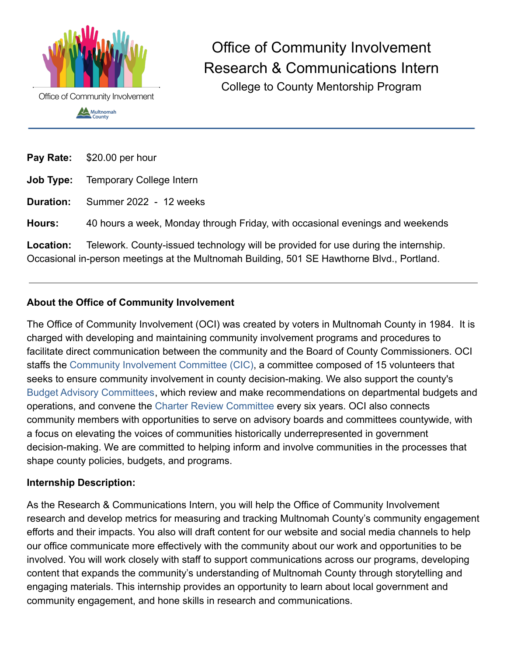

Office of Community Involvement Research & Communications Intern College to County Mentorship Program

| Pay Rate: | \$20.00 per hour                                                                                                                                                                 |
|-----------|----------------------------------------------------------------------------------------------------------------------------------------------------------------------------------|
| Job Type: | <b>Temporary College Intern</b>                                                                                                                                                  |
| Duration: | Summer 2022 - 12 weeks                                                                                                                                                           |
| Hours:    | 40 hours a week, Monday through Friday, with occasional evenings and weekends                                                                                                    |
| Location: | Telework. County-issued technology will be provided for use during the internship.<br>Occasional in-person meetings at the Multnomah Building, 501 SE Hawthorne Blvd., Portland. |

## **About the Office of Community Involvement**

The Office of Community Involvement (OCI) was created by voters in Multnomah County in 1984. It is charged with developing and maintaining community involvement programs and procedures to facilitate direct communication between the community and the Board of County Commissioners. OCI staffs the [Community Involvement Committee \(CIC\)](http://multco.us/oci/citizen-involvement-committee-cic), a committee composed of 15 volunteers that seeks to ensure community involvement in county decision-making. We also support the county's [Budget Advisory Committees](https://multco.us/oci/citizen-budget-advisory-committees-cbacs), which review and make recommendations on departmental budgets and operations, and convene the [Charter Review Committee](https://multco.us/multnomah-county/charter-review-committee) every six years. OCI also connects community members with opportunities to serve on advisory boards and committees countywide, with a focus on elevating the voices of communities historically underrepresented in government decision-making. We are committed to helping inform and involve communities in the processes that shape county policies, budgets, and programs.

#### **Internship Description:**

As the Research & Communications Intern, you will help the Office of Community Involvement research and develop metrics for measuring and tracking Multnomah County's community engagement efforts and their impacts. You also will draft content for our website and social media channels to help our office communicate more effectively with the community about our work and opportunities to be involved. You will work closely with staff to support communications across our programs, developing content that expands the community's understanding of Multnomah County through storytelling and engaging materials. This internship provides an opportunity to learn about local government and community engagement, and hone skills in research and communications.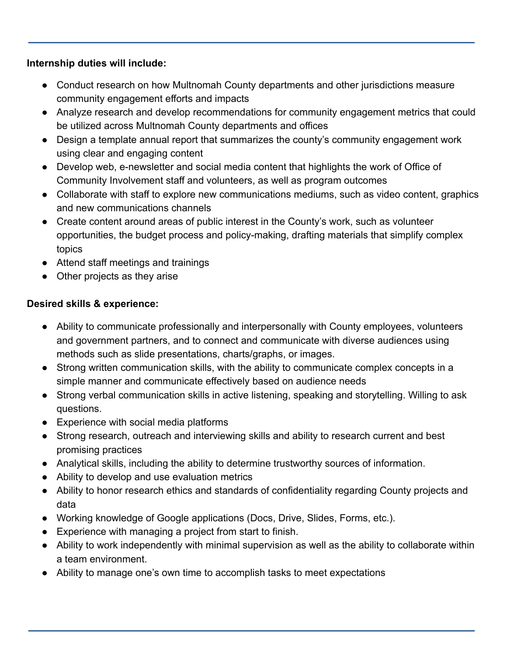### **Internship duties will include:**

- Conduct research on how Multnomah County departments and other jurisdictions measure community engagement efforts and impacts
- Analyze research and develop recommendations for community engagement metrics that could be utilized across Multnomah County departments and offices
- Design a template annual report that summarizes the county's community engagement work using clear and engaging content
- Develop web, e-newsletter and social media content that highlights the work of Office of Community Involvement staff and volunteers, as well as program outcomes
- Collaborate with staff to explore new communications mediums, such as video content, graphics and new communications channels
- Create content around areas of public interest in the County's work, such as volunteer opportunities, the budget process and policy-making, drafting materials that simplify complex topics
- Attend staff meetings and trainings
- Other projects as they arise

# **Desired skills & experience:**

- Ability to communicate professionally and interpersonally with County employees, volunteers and government partners, and to connect and communicate with diverse audiences using methods such as slide presentations, charts/graphs, or images.
- Strong written communication skills, with the ability to communicate complex concepts in a simple manner and communicate effectively based on audience needs
- Strong verbal communication skills in active listening, speaking and storytelling. Willing to ask questions.
- Experience with social media platforms
- Strong research, outreach and interviewing skills and ability to research current and best promising practices
- Analytical skills, including the ability to determine trustworthy sources of information.
- Ability to develop and use evaluation metrics
- Ability to honor research ethics and standards of confidentiality regarding County projects and data
- Working knowledge of Google applications (Docs, Drive, Slides, Forms, etc.).
- Experience with managing a project from start to finish.
- Ability to work independently with minimal supervision as well as the ability to collaborate within a team environment.
- Ability to manage one's own time to accomplish tasks to meet expectations